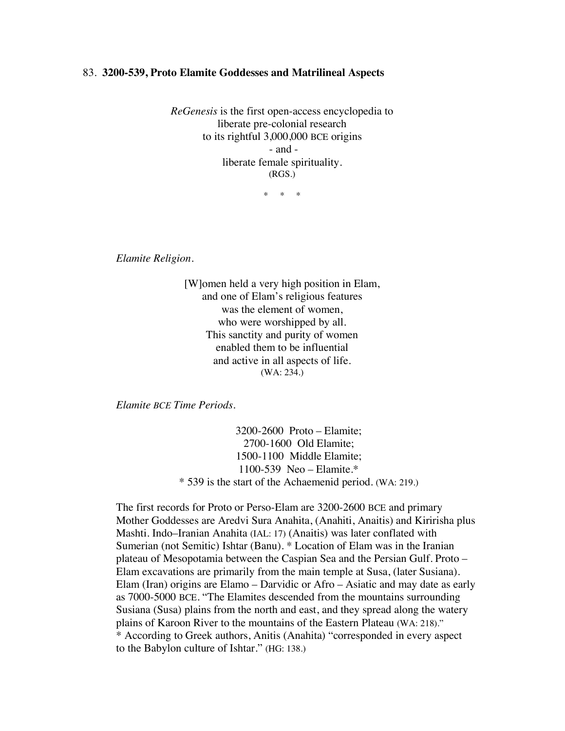## 83. **3200-539, Proto Elamite Goddesses and Matrilineal Aspects**

*ReGenesis* is the first open-access encyclopedia to liberate pre-colonial research to its rightful 3,000,000 BCE origins - and liberate female spirituality. (RGS.)

\* \* \*

*Elamite Religion.*

[W]omen held a very high position in Elam, and one of Elam's religious features was the element of women, who were worshipped by all. This sanctity and purity of women enabled them to be influential and active in all aspects of life. (WA: 234.)

*Elamite BCE Time Periods.*

3200-2600 Proto – Elamite; 2700-1600 Old Elamite; 1500-1100 Middle Elamite; 1100-539 Neo – Elamite.\* \* 539 is the start of the Achaemenid period. (WA: 219.)

The first records for Proto or Perso-Elam are 3200-2600 BCE and primary Mother Goddesses are Aredvi Sura Anahita, (Anahiti, Anaitis) and Kiririsha plus Mashti. Indo–Iranian Anahita (IAL: 17) (Anaitis) was later conflated with Sumerian (not Semitic) Ishtar (Banu). \* Location of Elam was in the Iranian plateau of Mesopotamia between the Caspian Sea and the Persian Gulf. Proto – Elam excavations are primarily from the main temple at Susa, (later Susiana). Elam (Iran) origins are Elamo – Darvidic or Afro – Asiatic and may date as early as 7000-5000 BCE. "The Elamites descended from the mountains surrounding Susiana (Susa) plains from the north and east, and they spread along the watery plains of Karoon River to the mountains of the Eastern Plateau (WA: 218)." \* According to Greek authors, Anitis (Anahita) "corresponded in every aspect to the Babylon culture of Ishtar." (HG: 138.)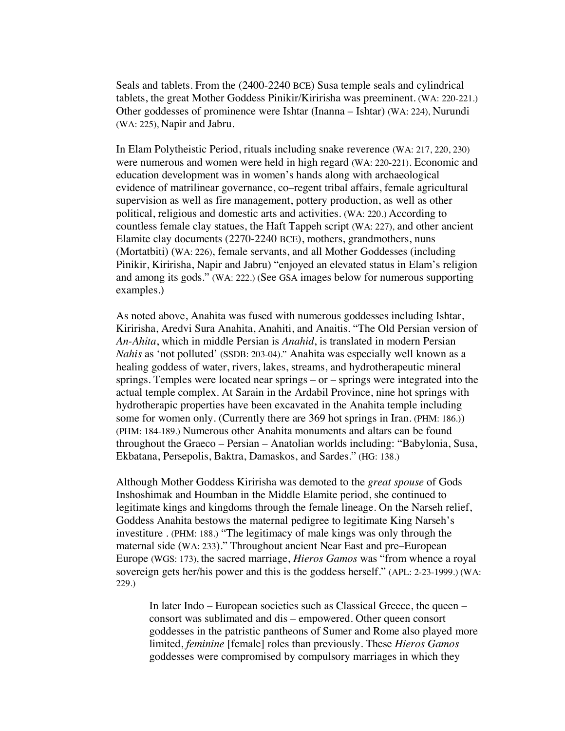Seals and tablets. From the (2400-2240 BCE) Susa temple seals and cylindrical tablets, the great Mother Goddess Pinikir/Kiririsha was preeminent. (WA: 220-221.) Other goddesses of prominence were Ishtar (Inanna – Ishtar) (WA: 224), Nurundi (WA: 225), Napir and Jabru.

In Elam Polytheistic Period, rituals including snake reverence (WA: 217, 220, 230) were numerous and women were held in high regard (WA: 220-221). Economic and education development was in women's hands along with archaeological evidence of matrilinear governance, co–regent tribal affairs, female agricultural supervision as well as fire management, pottery production, as well as other political, religious and domestic arts and activities. (WA: 220.) According to countless female clay statues, the Haft Tappeh script (WA: 227), and other ancient Elamite clay documents (2270-2240 BCE), mothers, grandmothers, nuns (Mortatbiti) (WA: 226), female servants, and all Mother Goddesses (including Pinikir, Kiririsha, Napir and Jabru) "enjoyed an elevated status in Elam's religion and among its gods." (WA: 222.) (See GSA images below for numerous supporting examples.)

As noted above, Anahita was fused with numerous goddesses including Ishtar, Kiririsha, Aredvi Sura Anahita, Anahiti, and Anaitis. "The Old Persian version of *An-Ahita*, which in middle Persian is *Anahid*, is translated in modern Persian *Nahis* as 'not polluted' (SSDB: 203-04)." Anahita was especially well known as a healing goddess of water, rivers, lakes, streams, and hydrotherapeutic mineral springs. Temples were located near springs – or – springs were integrated into the actual temple complex. At Sarain in the Ardabil Province, nine hot springs with hydrotherapic properties have been excavated in the Anahita temple including some for women only. (Currently there are 369 hot springs in Iran. (PHM: 186.)) (PHM: 184-189.) Numerous other Anahita monuments and altars can be found throughout the Graeco – Persian – Anatolian worlds including: "Babylonia, Susa, Ekbatana, Persepolis, Baktra, Damaskos, and Sardes." (HG: 138.)

Although Mother Goddess Kiririsha was demoted to the *great spouse* of Gods Inshoshimak and Houmban in the Middle Elamite period, she continued to legitimate kings and kingdoms through the female lineage. On the Narseh relief, Goddess Anahita bestows the maternal pedigree to legitimate King Narseh's investiture . (PHM: 188.) "The legitimacy of male kings was only through the maternal side (WA: 233)." Throughout ancient Near East and pre–European Europe (WGS: 173), the sacred marriage, *Hieros Gamos* was "from whence a royal sovereign gets her/his power and this is the goddess herself." (APL: 2-23-1999.) (WA: 229.)

In later Indo – European societies such as Classical Greece, the queen – consort was sublimated and dis – empowered. Other queen consort goddesses in the patristic pantheons of Sumer and Rome also played more limited, *feminine* [female] roles than previously. These *Hieros Gamos* goddesses were compromised by compulsory marriages in which they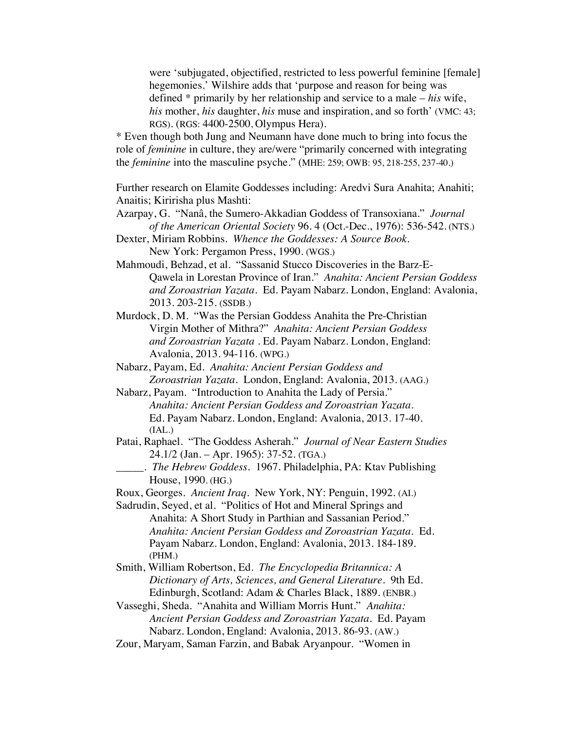were 'subjugated, objectified, restricted to less powerful feminine [female] hegemonies.' Wilshire adds that 'purpose and reason for being was defined \* primarily by her relationship and service to a male – *his* wife, *his* mother, *his* daughter, *his* muse and inspiration, and so forth' (VMC: 43; RGS). (RGS: 4400-2500, Olympus Hera).

\* Even though both Jung and Neumann have done much to bring into focus the role of *feminine* in culture, they are/were "primarily concerned with integrating the *feminine* into the masculine psyche." (MHE: 259; OWB: 95, 218-255, 237-40.)

Further research on Elamite Goddesses including: Aredvi Sura Anahita; Anahiti; Anaitis; Kiririsha plus Mashti:

Azarpay, G. "Nanâ, the Sumero-Akkadian Goddess of Transoxiana." *Journal of the American Oriental Society* 96. 4 (Oct.-Dec., 1976): 536-542. (NTS.)

Dexter, Miriam Robbins. *Whence the Goddesses: A Source Book*.

New York: Pergamon Press, 1990. (WGS.)

Mahmoudi, Behzad, et al. "Sassanid Stucco Discoveries in the Barz-E-Qawela in Lorestan Province of Iran." *Anahita: Ancient Persian Goddess and Zoroastrian Yazata.* Ed. Payam Nabarz. London, England: Avalonia, 2013. 203-215. (SSDB.)

Murdock, D. M. "Was the Persian Goddess Anahita the Pre-Christian Virgin Mother of Mithra?" *Anahita: Ancient Persian Goddess and Zoroastrian Yazata .* Ed. Payam Nabarz. London, England: Avalonia, 2013. 94-116. (WPG.)

Nabarz, Payam, Ed. *Anahita: Ancient Persian Goddess and Zoroastrian Yazata.* London, England: Avalonia, 2013. (AAG.)

Nabarz, Payam. "Introduction to Anahita the Lady of Persia." *Anahita: Ancient Persian Goddess and Zoroastrian Yazata.* Ed. Payam Nabarz. London, England: Avalonia, 2013. 17-40.  $(IAL.)$ 

Patai, Raphael. "The Goddess Asherah." *Journal of Near Eastern Studies* 24.1/2 (Jan. – Apr. 1965): 37-52. (TGA.)

\_\_\_\_\_. *The Hebrew Goddess.* 1967. Philadelphia, PA: Ktav Publishing House, 1990. (HG.)

Roux, Georges. *Ancient Iraq*. New York, NY: Penguin, 1992. (AI.)

Sadrudin, Seyed, et al. "Politics of Hot and Mineral Springs and Anahita: A Short Study in Parthian and Sassanian Period." *Anahita: Ancient Persian Goddess and Zoroastrian Yazata.* Ed. Payam Nabarz. London, England: Avalonia, 2013. 184-189. (PHM.)

Smith, William Robertson, Ed. *The Encyclopedia Britannica: A Dictionary of Arts, Sciences, and General Literature*. 9th Ed. Edinburgh, Scotland: Adam & Charles Black, 1889. (ENBR.)

Vasseghi, Sheda. "Anahita and William Morris Hunt." *Anahita: Ancient Persian Goddess and Zoroastrian Yazata.* Ed. Payam Nabarz. London, England: Avalonia, 2013. 86-93. (AW.)

Zour, Maryam, Saman Farzin, and Babak Aryanpour. "Women in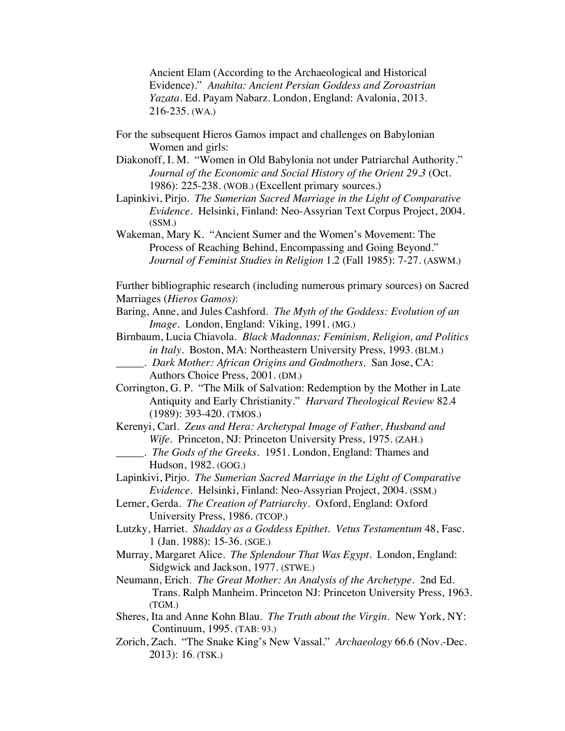Ancient Elam (According to the Archaeological and Historical Evidence)." *Anahita: Ancient Persian Goddess and Zoroastrian Yazata.* Ed. Payam Nabarz. London, England: Avalonia, 2013. 216-235. (WA.)

- For the subsequent Hieros Gamos impact and challenges on Babylonian Women and girls:
- Diakonoff, I. M. "Women in Old Babylonia not under Patriarchal Authority." *Journal of the Economic and Social History of the Orient 29.3* (Oct. 1986): 225-238. (WOB.) (Excellent primary sources.)
- Lapinkivi, Pirjo. *The Sumerian Sacred Marriage in the Light of Comparative Evidence*. Helsinki, Finland: Neo-Assyrian Text Corpus Project, 2004. (SSM.)
- Wakeman, Mary K. "Ancient Sumer and the Women's Movement: The Process of Reaching Behind, Encompassing and Going Beyond." *Journal of Feminist Studies in Religion* 1.2 (Fall 1985): 7-27. (ASWM.)

Further bibliographic research (including numerous primary sources) on Sacred Marriages (*Hieros Gamos)*:

- Baring, Anne, and Jules Cashford. *The Myth of the Goddess: Evolution of an Image*. London, England: Viking, 1991. (MG.)
- Birnbaum, Lucia Chiavola. *Black Madonnas: Feminism, Religion, and Politics in Italy*. Boston, MA: Northeastern University Press, 1993. (BLM.)
	- \_\_\_\_\_. *Dark Mother: African Origins and Godmothers*. San Jose, CA: Authors Choice Press, 2001. (DM.)
- Corrington, G. P. "The Milk of Salvation: Redemption by the Mother in Late Antiquity and Early Christianity." *Harvard Theological Review* 82.4 (1989): 393-420. (TMOS.)
- Kerenyi, Carl. *Zeus and Hera: Archetypal Image of Father, Husband and Wife*. Princeton, NJ: Princeton University Press, 1975. (ZAH.)
	- \_\_\_\_\_. *The Gods of the Greeks*. 1951. London, England: Thames and Hudson, 1982. (GOG.)
- Lapinkivi, Pirjo. *The Sumerian Sacred Marriage in the Light of Comparative Evidence*. Helsinki, Finland: Neo-Assyrian Project, 2004. (SSM.)

Lerner, Gerda. *The Creation of Patriarchy.* Oxford, England: Oxford University Press, 1986. (TCOP.)

- Lutzky, Harriet. *Shadday as a Goddess Epithet. Vetus Testamentum* 48, Fasc. 1 (Jan. 1988): 15-36. (SGE.)
- Murray, Margaret Alice. *The Splendour That Was Egypt.* London, England: Sidgwick and Jackson, 1977. (STWE.)
- Neumann, Erich*. The Great Mother: An Analysis of the Archetype*. 2nd Ed. Trans. Ralph Manheim. Princeton NJ: Princeton University Press, 1963. (TGM.)
- Sheres, Ita and Anne Kohn Blau. *The Truth about the Virgin*. New York, NY: Continuum, 1995. (TAB: 93.)
- Zorich, Zach. "The Snake King's New Vassal." *Archaeology* 66.6 (Nov.-Dec. 2013): 16. (TSK.)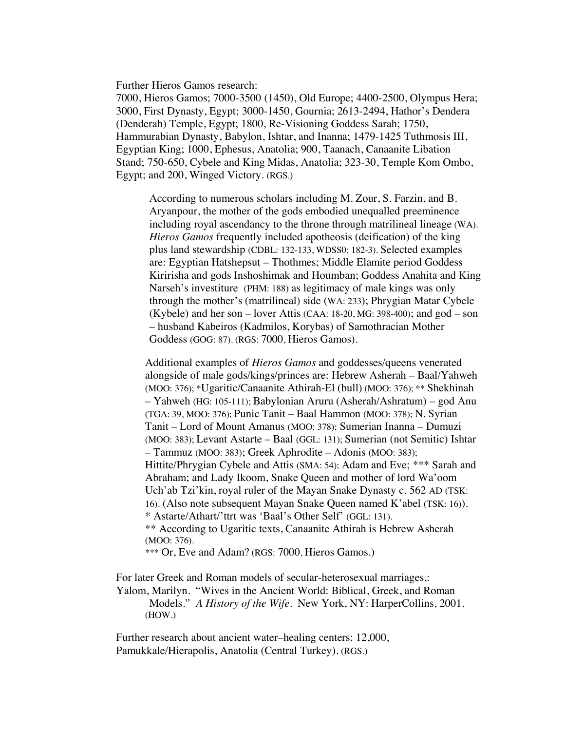Further Hieros Gamos research:

7000, Hieros Gamos; 7000-3500 (1450), Old Europe; 4400-2500, Olympus Hera; 3000, First Dynasty, Egypt; 3000-1450, Gournia; 2613-2494, Hathor's Dendera (Denderah) Temple, Egypt; 1800, Re-Visioning Goddess Sarah; 1750, Hammurabian Dynasty, Babylon, Ishtar, and Inanna; 1479-1425 Tuthmosis III, Egyptian King; 1000, Ephesus, Anatolia; 900, Taanach, Canaanite Libation Stand; 750-650, Cybele and King Midas, Anatolia; 323-30, Temple Kom Ombo, Egypt; and 200, Winged Victory. (RGS.)

According to numerous scholars including M. Zour, S. Farzin, and B. Aryanpour, the mother of the gods embodied unequalled preeminence including royal ascendancy to the throne through matrilineal lineage (WA). *Hieros Gamos* frequently included apotheosis (deification) of the king plus land stewardship (CDBL: 132-133, WDSS0: 182-3). Selected examples are: Egyptian Hatshepsut – Thothmes; Middle Elamite period Goddess Kiririsha and gods Inshoshimak and Houmban; Goddess Anahita and King Narseh's investiture (PHM: 188) as legitimacy of male kings was only through the mother's (matrilineal) side (WA: 233); Phrygian Matar Cybele (Kybele) and her son – lover Attis (CAA: 18-20, MG: 398-400); and god – son – husband Kabeiros (Kadmilos, Korybas) of Samothracian Mother Goddess (GOG: 87). (RGS: 7000, Hieros Gamos).

Additional examples of *Hieros Gamos* and goddesses/queens venerated alongside of male gods/kings/princes are: Hebrew Asherah – Baal/Yahweh (MOO: 376); \*Ugaritic/Canaanite Athirah-El (bull) (MOO: 376); \*\* Shekhinah – Yahweh (HG: 105-111); Babylonian Aruru (Asherah/Ashratum) – god Anu (TGA: 39, MOO: 376); Punic Tanit – Baal Hammon (MOO: 378); N. Syrian Tanit – Lord of Mount Amanus (MOO: 378); Sumerian Inanna – Dumuzi (MOO: 383); Levant Astarte – Baal (GGL: 131); Sumerian (not Semitic) Ishtar – Tammuz (MOO: 383); Greek Aphrodite – Adonis (MOO: 383); Hittite/Phrygian Cybele and Attis (SMA: 54); Adam and Eve; \*\*\* Sarah and Abraham; and Lady Ikoom, Snake Queen and mother of lord Wa'oom Uch'ab Tzi'kin, royal ruler of the Mayan Snake Dynasty c. 562 AD (TSK: 16). (Also note subsequent Mayan Snake Queen named K'abel (TSK: 16)). \* Astarte/Athart/'ttrt was 'Baal's Other Self' (GGL: 131). \*\* According to Ugaritic texts, Canaanite Athirah is Hebrew Asherah (MOO: 376).

\*\*\* Or, Eve and Adam? (RGS: 7000, Hieros Gamos.)

For later Greek and Roman models of secular-heterosexual marriages,: Yalom, Marilyn. "Wives in the Ancient World: Biblical, Greek, and Roman Models." *A History of the Wife*. New York, NY: HarperCollins, 2001. (HOW.)

Further research about ancient water–healing centers: 12,000, Pamukkale/Hierapolis, Anatolia (Central Turkey). (RGS.)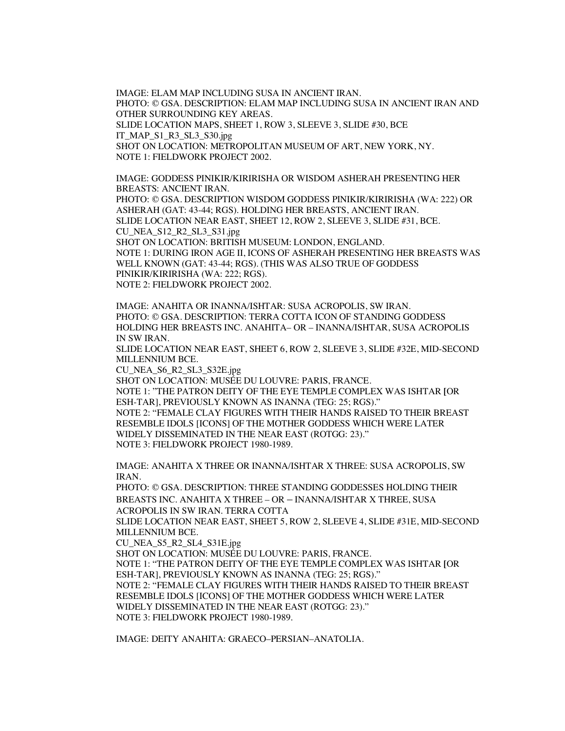IMAGE: ELAM MAP INCLUDING SUSA IN ANCIENT IRAN. PHOTO: © GSA. DESCRIPTION: ELAM MAP INCLUDING SUSA IN ANCIENT IRAN AND OTHER SURROUNDING KEY AREAS. SLIDE LOCATION MAPS, SHEET 1, ROW 3, SLEEVE 3, SLIDE #30, BCE IT\_MAP\_S1\_R3\_SL3\_S30.jpg SHOT ON LOCATION: METROPOLITAN MUSEUM OF ART, NEW YORK, NY.

NOTE 1: FIELDWORK PROJECT 2002.

IMAGE: GODDESS PINIKIR/KIRIRISHA OR WISDOM ASHERAH PRESENTING HER BREASTS: ANCIENT IRAN.

PHOTO: © GSA. DESCRIPTION WISDOM GODDESS PINIKIR/KIRIRISHA (WA: 222) OR ASHERAH (GAT: 43-44; RGS). HOLDING HER BREASTS, ANCIENT IRAN. SLIDE LOCATION NEAR EAST, SHEET 12, ROW 2, SLEEVE 3, SLIDE #31, BCE. CU\_NEA\_S12\_R2\_SL3\_S31.jpg

SHOT ON LOCATION: BRITISH MUSEUM: LONDON, ENGLAND. NOTE 1: DURING IRON AGE II, ICONS OF ASHERAH PRESENTING HER BREASTS WAS WELL KNOWN (GAT: 43-44; RGS). (THIS WAS ALSO TRUE OF GODDESS PINIKIR/KIRIRISHA (WA: 222; RGS). NOTE 2: FIELDWORK PROJECT 2002.

IMAGE: ANAHITA OR INANNA/ISHTAR: SUSA ACROPOLIS, SW IRAN. PHOTO: © GSA. DESCRIPTION: TERRA COTTA ICON OF STANDING GODDESS HOLDING HER BREASTS INC. ANAHITA– OR – INANNA/ISHTAR, SUSA ACROPOLIS IN SW IRAN.

SLIDE LOCATION NEAR EAST, SHEET 6, ROW 2, SLEEVE 3, SLIDE #32E, MID-SECOND MILLENNIUM BCE.

CU\_NEA\_S6\_R2\_SL3\_S32E.jpg

SHOT ON LOCATION: MUSÉE DU LOUVRE: PARIS, FRANCE. NOTE 1: "THE PATRON DEITY OF THE EYE TEMPLE COMPLEX WAS ISHTAR **[**OR ESH-TAR], PREVIOUSLY KNOWN AS INANNA (TEG: 25; RGS)." NOTE 2: "FEMALE CLAY FIGURES WITH THEIR HANDS RAISED TO THEIR BREAST RESEMBLE IDOLS [ICONS] OF THE MOTHER GODDESS WHICH WERE LATER WIDELY DISSEMINATED IN THE NEAR EAST (ROTGG: 23)." NOTE 3: FIELDWORK PROJECT 1980-1989.

IMAGE: ANAHITA X THREE OR INANNA/ISHTAR X THREE: SUSA ACROPOLIS, SW IRAN.

PHOTO: © GSA. DESCRIPTION: THREE STANDING GODDESSES HOLDING THEIR BREASTS INC. ANAHITA X THREE – OR – INANNA/ISHTAR X THREE, SUSA ACROPOLIS IN SW IRAN. TERRA COTTA

SLIDE LOCATION NEAR EAST, SHEET 5, ROW 2, SLEEVE 4, SLIDE #31E, MID-SECOND MILLENNIUM BCE.

CU\_NEA\_S5\_R2\_SL4\_S31E.jpg

SHOT ON LOCATION: MUSÉE DU LOUVRE: PARIS, FRANCE.

NOTE 1: "THE PATRON DEITY OF THE EYE TEMPLE COMPLEX WAS ISHTAR **[**OR ESH-TAR], PREVIOUSLY KNOWN AS INANNA (TEG: 25; RGS)." NOTE 2: "FEMALE CLAY FIGURES WITH THEIR HANDS RAISED TO THEIR BREAST

RESEMBLE IDOLS [ICONS] OF THE MOTHER GODDESS WHICH WERE LATER WIDELY DISSEMINATED IN THE NEAR EAST (ROTGG: 23)."

NOTE 3: FIELDWORK PROJECT 1980-1989.

IMAGE: DEITY ANAHITA: GRAECO–PERSIAN–ANATOLIA.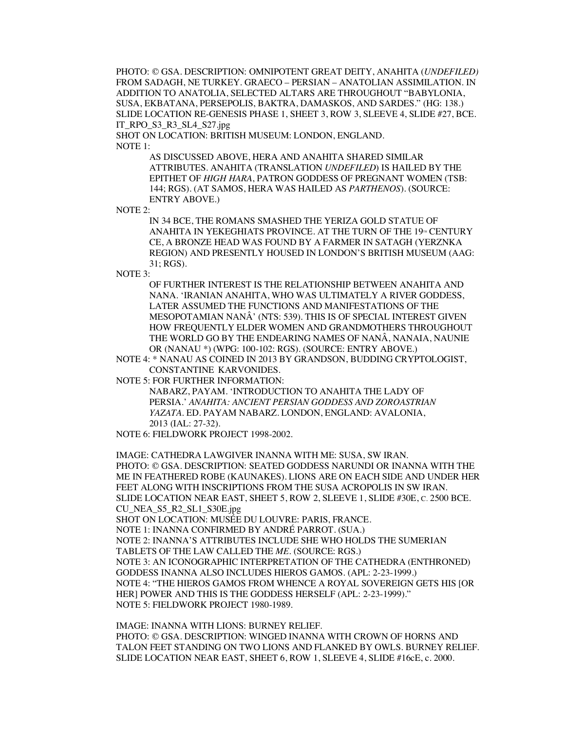PHOTO: © GSA. DESCRIPTION: OMNIPOTENT GREAT DEITY, ANAHITA (*UNDEFILED)* FROM SADAGH, NE TURKEY. GRAECO – PERSIAN – ANATOLIAN ASSIMILATION. IN ADDITION TO ANATOLIA, SELECTED ALTARS ARE THROUGHOUT "BABYLONIA, SUSA, EKBATANA, PERSEPOLIS, BAKTRA, DAMASKOS, AND SARDES." (HG: 138.) SLIDE LOCATION RE-GENESIS PHASE 1, SHEET 3, ROW 3, SLEEVE 4, SLIDE #27, BCE. IT\_RPO\_S3\_R3\_SL4\_S27.jpg

SHOT ON LOCATION: BRITISH MUSEUM: LONDON, ENGLAND. NOTE 1:

> AS DISCUSSED ABOVE, HERA AND ANAHITA SHARED SIMILAR ATTRIBUTES. ANAHITA (TRANSLATION *UNDEFILED*) IS HAILED BY THE EPITHET OF *HIGH HARA*, PATRON GODDESS OF PREGNANT WOMEN (TSB: 144; RGS). (AT SAMOS, HERA WAS HAILED AS *PARTHENOS*). (SOURCE: ENTRY ABOVE.)

NOTE 2:

IN 34 BCE, THE ROMANS SMASHED THE YERIZA GOLD STATUE OF ANAHITA IN YEKEGHIATS PROVINCE. AT THE TURN OF THE  $19<sup>m</sup>$  CENTURY CE, A BRONZE HEAD WAS FOUND BY A FARMER IN SATAGH (YERZNKA REGION) AND PRESENTLY HOUSED IN LONDON'S BRITISH MUSEUM (AAG: 31; RGS).

NOTE 3:

OF FURTHER INTEREST IS THE RELATIONSHIP BETWEEN ANAHITA AND NANA. 'IRANIAN ANAHITA, WHO WAS ULTIMATELY A RIVER GODDESS, LATER ASSUMED THE FUNCTIONS AND MANIFESTATIONS OF THE MESOPOTAMIAN NANÂ' (NTS: 539). THIS IS OF SPECIAL INTEREST GIVEN HOW FREQUENTLY ELDER WOMEN AND GRANDMOTHERS THROUGHOUT THE WORLD GO BY THE ENDEARING NAMES OF NANÂ, NANAIA, NAUNIE OR (NANAU \*) (WPG: 100-102: RGS). (SOURCE: ENTRY ABOVE.)

NOTE 4: \* NANAU AS COINED IN 2013 BY GRANDSON, BUDDING CRYPTOLOGIST, CONSTANTINE KARVONIDES.

NOTE 5: FOR FURTHER INFORMATION:

NABARZ, PAYAM. 'INTRODUCTION TO ANAHITA THE LADY OF PERSIA.' *ANAHITA: ANCIENT PERSIAN GODDESS AND ZOROASTRIAN YAZATA.* ED. PAYAM NABARZ. LONDON, ENGLAND: AVALONIA, 2013 (IAL: 27-32).

NOTE 6: FIELDWORK PROJECT 1998-2002.

IMAGE: CATHEDRA LAWGIVER INANNA WITH ME: SUSA, SW IRAN. PHOTO: © GSA. DESCRIPTION: SEATED GODDESS NARUNDI OR INANNA WITH THE ME IN FEATHERED ROBE (KAUNAKES). LIONS ARE ON EACH SIDE AND UNDER HER FEET ALONG WITH INSCRIPTIONS FROM THE SUSA ACROPOLIS IN SW IRAN. SLIDE LOCATION NEAR EAST, SHEET 5, ROW 2, SLEEVE 1, SLIDE #30E, C. 2500 BCE. CU\_NEA\_S5\_R2\_SL1\_S30E.jpg

SHOT ON LOCATION: MUSÉE DU LOUVRE: PARIS, FRANCE.

NOTE 1: INANNA CONFIRMED BY ANDRÉ PARROT. (SUA.)

NOTE 2: INANNA'S ATTRIBUTES INCLUDE SHE WHO HOLDS THE SUMERIAN TABLETS OF THE LAW CALLED THE *ME*. (SOURCE: RGS.)

NOTE 3: AN ICONOGRAPHIC INTERPRETATION OF THE CATHEDRA (ENTHRONED) GODDESS INANNA ALSO INCLUDES HIEROS GAMOS. (APL: 2-23-1999.) NOTE 4: "THE HIEROS GAMOS FROM WHENCE A ROYAL SOVEREIGN GETS HIS [OR HER] POWER AND THIS IS THE GODDESS HERSELF (APL: 2-23-1999)." NOTE 5: FIELDWORK PROJECT 1980-1989.

IMAGE: INANNA WITH LIONS: BURNEY RELIEF.

PHOTO: © GSA. DESCRIPTION: WINGED INANNA WITH CROWN OF HORNS AND TALON FEET STANDING ON TWO LIONS AND FLANKED BY OWLS. BURNEY RELIEF. SLIDE LOCATION NEAR EAST, SHEET 6, ROW 1, SLEEVE 4, SLIDE #16cE, c. 2000.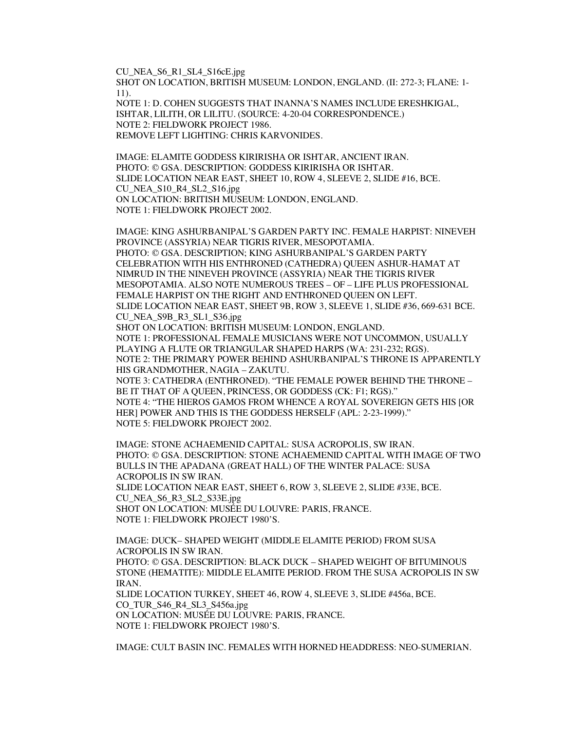CU\_NEA\_S6\_R1\_SL4\_S16cE.jpg

SHOT ON LOCATION, BRITISH MUSEUM: LONDON, ENGLAND. (II: 272-3; FLANE: 1- 11). NOTE 1: D. COHEN SUGGESTS THAT INANNA'S NAMES INCLUDE ERESHKIGAL, ISHTAR, LILITH, OR LILITU. (SOURCE: 4-20-04 CORRESPONDENCE.) NOTE 2: FIELDWORK PROJECT 1986.

REMOVE LEFT LIGHTING: CHRIS KARVONIDES.

IMAGE: ELAMITE GODDESS KIRIRISHA OR ISHTAR, ANCIENT IRAN. PHOTO: © GSA. DESCRIPTION: GODDESS KIRIRISHA OR ISHTAR. SLIDE LOCATION NEAR EAST, SHEET 10, ROW 4, SLEEVE 2, SLIDE #16, BCE. CU\_NEA\_S10\_R4\_SL2\_S16.jpg ON LOCATION: BRITISH MUSEUM: LONDON, ENGLAND. NOTE 1: FIELDWORK PROJECT 2002.

IMAGE: KING ASHURBANIPAL'S GARDEN PARTY INC. FEMALE HARPIST: NINEVEH PROVINCE (ASSYRIA) NEAR TIGRIS RIVER, MESOPOTAMIA. PHOTO: © GSA. DESCRIPTION; KING ASHURBANIPAL'S GARDEN PARTY CELEBRATION WITH HIS ENTHRONED (CATHEDRA) QUEEN ASHUR-HAMAT AT NIMRUD IN THE NINEVEH PROVINCE (ASSYRIA) NEAR THE TIGRIS RIVER MESOPOTAMIA. ALSO NOTE NUMEROUS TREES – OF – LIFE PLUS PROFESSIONAL FEMALE HARPIST ON THE RIGHT AND ENTHRONED QUEEN ON LEFT. SLIDE LOCATION NEAR EAST, SHEET 9B, ROW 3, SLEEVE 1, SLIDE #36, 669-631 BCE. CU\_NEA\_S9B\_R3\_SL1\_S36.jpg

SHOT ON LOCATION: BRITISH MUSEUM: LONDON, ENGLAND. NOTE 1: PROFESSIONAL FEMALE MUSICIANS WERE NOT UNCOMMON, USUALLY PLAYING A FLUTE OR TRIANGULAR SHAPED HARPS (WA: 231-232; RGS). NOTE 2: THE PRIMARY POWER BEHIND ASHURBANIPAL'S THRONE IS APPARENTLY HIS GRANDMOTHER, NAGIA – ZAKUTU. NOTE 3: CATHEDRA (ENTHRONED). "THE FEMALE POWER BEHIND THE THRONE – BE IT THAT OF A QUEEN, PRINCESS, OR GODDESS (CK: F1; RGS)." NOTE 4: "THE HIEROS GAMOS FROM WHENCE A ROYAL SOVEREIGN GETS HIS [OR HER] POWER AND THIS IS THE GODDESS HERSELF (APL: 2-23-1999)." NOTE 5: FIELDWORK PROJECT 2002.

IMAGE: STONE ACHAEMENID CAPITAL: SUSA ACROPOLIS, SW IRAN. PHOTO: © GSA. DESCRIPTION: STONE ACHAEMENID CAPITAL WITH IMAGE OF TWO BULLS IN THE APADANA (GREAT HALL) OF THE WINTER PALACE: SUSA ACROPOLIS IN SW IRAN. SLIDE LOCATION NEAR EAST, SHEET 6, ROW 3, SLEEVE 2, SLIDE #33E, BCE. CU\_NEA\_S6\_R3\_SL2\_S33E.jpg SHOT ON LOCATION: MUSÉE DU LOUVRE: PARIS, FRANCE.

NOTE 1: FIELDWORK PROJECT 1980'S. IMAGE: DUCK– SHAPED WEIGHT (MIDDLE ELAMITE PERIOD) FROM SUSA

ACROPOLIS IN SW IRAN. PHOTO: © GSA. DESCRIPTION: BLACK DUCK – SHAPED WEIGHT OF BITUMINOUS STONE (HEMATITE): MIDDLE ELAMITE PERIOD. FROM THE SUSA ACROPOLIS IN SW IRAN. SLIDE LOCATION TURKEY, SHEET 46, ROW 4, SLEEVE 3, SLIDE #456a, BCE.

CO\_TUR\_S46\_R4\_SL3\_S456a.jpg ON LOCATION: MUSÉE DU LOUVRE: PARIS, FRANCE. NOTE 1: FIELDWORK PROJECT 1980'S.

IMAGE: CULT BASIN INC. FEMALES WITH HORNED HEADDRESS: NEO-SUMERIAN.